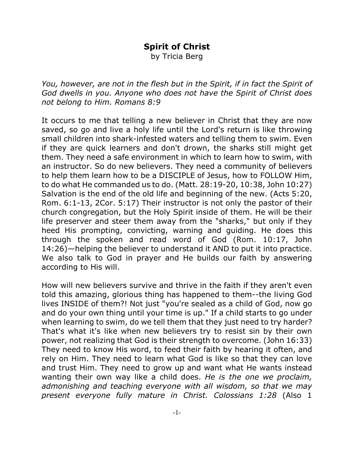## **Spirit of Christ**

by Tricia Berg

*You, however, are not in the flesh but in the Spirit, if in fact the Spirit of God dwells in you. Anyone who does not have the Spirit of Christ does not belong to Him. Romans 8:9*

It occurs to me that telling a new believer in Christ that they are now saved, so go and live a holy life until the Lord's return is like throwing small children into shark-infested waters and telling them to swim. Even if they are quick learners and don't drown, the sharks still might get them. They need a safe environment in which to learn how to swim, with an instructor. So do new believers. They need a community of believers to help them learn how to be a DISCIPLE of Jesus, how to FOLLOW Him, to do what He commanded us to do. (Matt. 28:19-20, 10:38, John 10:27) Salvation is the end of the old life and beginning of the new. (Acts 5:20, Rom. 6:1-13, 2Cor. 5:17) Their instructor is not only the pastor of their church congregation, but the Holy Spirit inside of them. He will be their life preserver and steer them away from the "sharks," but only if they heed His prompting, convicting, warning and guiding. He does this through the spoken and read word of God (Rom. 10:17, John 14:26)—helping the believer to understand it AND to put it into practice. We also talk to God in prayer and He builds our faith by answering according to His will.

How will new believers survive and thrive in the faith if they aren't even told this amazing, glorious thing has happened to them--the living God lives INSIDE of them?! Not just "you're sealed as a child of God, now go and do your own thing until your time is up." If a child starts to go under when learning to swim, do we tell them that they just need to try harder? That's what it's like when new believers try to resist sin by their own power, not realizing that God is their strength to overcome. (John 16:33) They need to know His word, to feed their faith by hearing it often, and rely on Him. They need to learn what God is like so that they can love and trust Him. They need to grow up and want what He wants instead wanting their own way like a child does. *He is the one we proclaim, admonishing and teaching everyone with all wisdom, so that we may present everyone fully mature in Christ. Colossians 1:28* (Also 1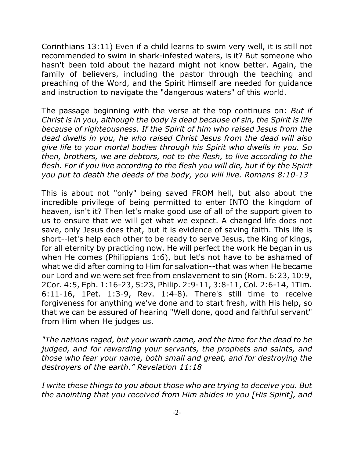Corinthians 13:11) Even if a child learns to swim very well, it is still not recommended to swim in shark-infested waters, is it? But someone who hasn't been told about the hazard might not know better. Again, the family of believers, including the pastor through the teaching and preaching of the Word, and the Spirit Himself are needed for guidance and instruction to navigate the "dangerous waters" of this world.

The passage beginning with the verse at the top continues on: *But if Christ is in you, although the body is dead because of sin, the Spirit is life because of righteousness. If the Spirit of him who raised Jesus from the dead dwells in you, he who raised Christ Jesus from the dead will also give life to your mortal bodies through his Spirit who dwells in you. So then, brothers, we are debtors, not to the flesh, to live according to the flesh. For if you live according to the flesh you will die, but if by the Spirit you put to death the deeds of the body, you will live. Romans 8:10-13*

This is about not "only" being saved FROM hell, but also about the incredible privilege of being permitted to enter INTO the kingdom of heaven, isn't it? Then let's make good use of all of the support given to us to ensure that we will get what we expect. A changed life does not save, only Jesus does that, but it is evidence of saving faith. This life is short--let's help each other to be ready to serve Jesus, the King of kings, for all eternity by practicing now. He will perfect the work He began in us when He comes (Philippians 1:6), but let's not have to be ashamed of what we did after coming to Him for salvation--that was when He became our Lord and we were set free from enslavement to sin (Rom. 6:23, 10:9, 2Cor. 4:5, Eph. 1:16-23, 5:23, Philip. 2:9-11, 3:8-11, Col. 2:6-14, 1Tim. 6:11-16, 1Pet. 1:3-9, Rev. 1:4-8). There's still time to receive forgiveness for anything we've done and to start fresh, with His help, so that we can be assured of hearing "Well done, good and faithful servant" from Him when He judges us.

*"The nations raged, but your wrath came, and the time for the dead to be judged, and for rewarding your servants, the prophets and saints, and those who fear your name, both small and great, and for destroying the destroyers of the earth." Revelation 11:18*

*I write these things to you about those who are trying to deceive you. But the anointing that you received from Him abides in you [His Spirit], and*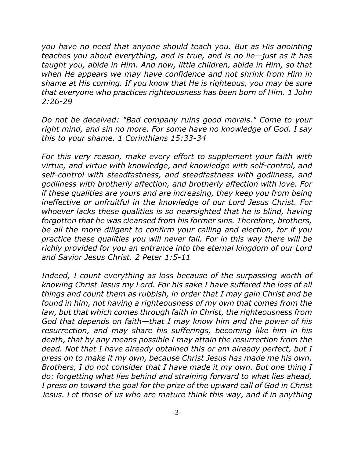*you have no need that anyone should teach you. But as His anointing teaches you about everything, and is true, and is no lie—just as it has taught you, abide in Him. And now, little children, abide in Him, so that when He appears we may have confidence and not shrink from Him in shame at His coming. If you know that He is righteous, you may be sure that everyone who practices righteousness has been born of Him. 1 John 2:26-29*

*Do not be deceived: "Bad company ruins good morals." Come to your right mind, and sin no more. For some have no knowledge of God. I say this to your shame. 1 Corinthians 15:33-34*

*For this very reason, make every effort to supplement your faith with virtue, and virtue with knowledge, and knowledge with self-control, and self-control with steadfastness, and steadfastness with godliness, and godliness with brotherly affection, and brotherly affection with love. For if these qualities are yours and are increasing, they keep you from being ineffective or unfruitful in the knowledge of our Lord Jesus Christ. For whoever lacks these qualities is so nearsighted that he is blind, having forgotten that he was cleansed from his former sins. Therefore, brothers, be all the more diligent to confirm your calling and election, for if you practice these qualities you will never fall. For in this way there will be richly provided for you an entrance into the eternal kingdom of our Lord and Savior Jesus Christ. 2 Peter 1:5-11* 

*Indeed, I count everything as loss because of the surpassing worth of knowing Christ Jesus my Lord. For his sake I have suffered the loss of all things and count them as rubbish, in order that I may gain Christ and be found in him, not having a righteousness of my own that comes from the law, but that which comes through faith in Christ, the righteousness from God that depends on faith—that I may know him and the power of his resurrection, and may share his sufferings, becoming like him in his death, that by any means possible I may attain the resurrection from the dead. Not that I have already obtained this or am already perfect, but I press on to make it my own, because Christ Jesus has made me his own. Brothers, I do not consider that I have made it my own. But one thing I do: forgetting what lies behind and straining forward to what lies ahead, I press on toward the goal for the prize of the upward call of God in Christ Jesus. Let those of us who are mature think this way, and if in anything*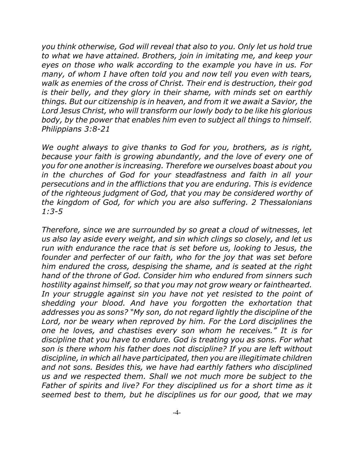*you think otherwise, God will reveal that also to you. Only let us hold true to what we have attained. Brothers, join in imitating me, and keep your eyes on those who walk according to the example you have in us. For many, of whom I have often told you and now tell you even with tears, walk as enemies of the cross of Christ. Their end is destruction, their god is their belly, and they glory in their shame, with minds set on earthly things. But our citizenship is in heaven, and from it we await a Savior, the Lord Jesus Christ, who will transform our lowly body to be like his glorious body, by the power that enables him even to subject all things to himself. Philippians 3:8-21*

*We ought always to give thanks to God for you, brothers, as is right, because your faith is growing abundantly, and the love of every one of you for one another is increasing. Therefore we ourselves boast about you in the churches of God for your steadfastness and faith in all your persecutions and in the afflictions that you are enduring. This is evidence of the righteous judgment of God, that you may be considered worthy of the kingdom of God, for which you are also suffering. 2 Thessalonians 1:3-5* 

*Therefore, since we are surrounded by so great a cloud of witnesses, let us also lay aside every weight, and sin which clings so closely, and let us run with endurance the race that is set before us, looking to Jesus, the founder and perfecter of our faith, who for the joy that was set before him endured the cross, despising the shame, and is seated at the right hand of the throne of God. Consider him who endured from sinners such hostility against himself, so that you may not grow weary or fainthearted. In your struggle against sin you have not yet resisted to the point of shedding your blood. And have you forgotten the exhortation that addresses you as sons? "My son, do not regard lightly the discipline of the Lord, nor be weary when reproved by him. For the Lord disciplines the one he loves, and chastises every son whom he receives." It is for discipline that you have to endure. God is treating you as sons. For what son is there whom his father does not discipline? If you are left without discipline, in which all have participated, then you are illegitimate children and not sons. Besides this, we have had earthly fathers who disciplined us and we respected them. Shall we not much more be subject to the Father of spirits and live? For they disciplined us for a short time as it seemed best to them, but he disciplines us for our good, that we may*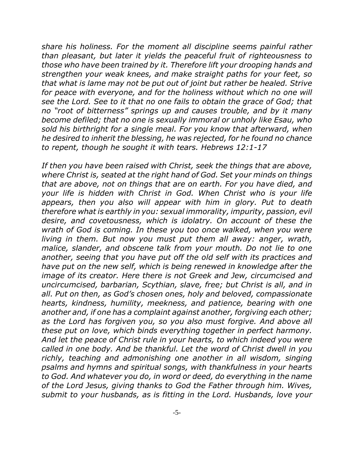*share his holiness. For the moment all discipline seems painful rather than pleasant, but later it yields the peaceful fruit of righteousness to those who have been trained by it. Therefore lift your drooping hands and strengthen your weak knees, and make straight paths for your feet, so that what is lame may not be put out of joint but rather be healed. Strive for peace with everyone, and for the holiness without which no one will see the Lord. See to it that no one fails to obtain the grace of God; that no "root of bitterness" springs up and causes trouble, and by it many become defiled; that no one is sexually immoral or unholy like Esau, who sold his birthright for a single meal. For you know that afterward, when he desired to inherit the blessing, he was rejected, for he found no chance to repent, though he sought it with tears. Hebrews 12:1-17*

*If then you have been raised with Christ, seek the things that are above, where Christ is, seated at the right hand of God. Set your minds on things that are above, not on things that are on earth. For you have died, and your life is hidden with Christ in God. When Christ who is your life appears, then you also will appear with him in glory. Put to death therefore what is earthly in you: sexual immorality, impurity, passion, evil desire, and covetousness, which is idolatry. On account of these the wrath of God is coming. In these you too once walked, when you were living in them. But now you must put them all away: anger, wrath, malice, slander, and obscene talk from your mouth. Do not lie to one another, seeing that you have put off the old self with its practices and have put on the new self, which is being renewed in knowledge after the image of its creator. Here there is not Greek and Jew, circumcised and uncircumcised, barbarian, Scythian, slave, free; but Christ is all, and in all. Put on then, as God's chosen ones, holy and beloved, compassionate hearts, kindness, humility, meekness, and patience, bearing with one another and, if one has a complaint against another, forgiving each other; as the Lord has forgiven you, so you also must forgive. And above all these put on love, which binds everything together in perfect harmony. And let the peace of Christ rule in your hearts, to which indeed you were called in one body. And be thankful. Let the word of Christ dwell in you richly, teaching and admonishing one another in all wisdom, singing psalms and hymns and spiritual songs, with thankfulness in your hearts to God. And whatever you do, in word or deed, do everything in the name of the Lord Jesus, giving thanks to God the Father through him. Wives, submit to your husbands, as is fitting in the Lord. Husbands, love your*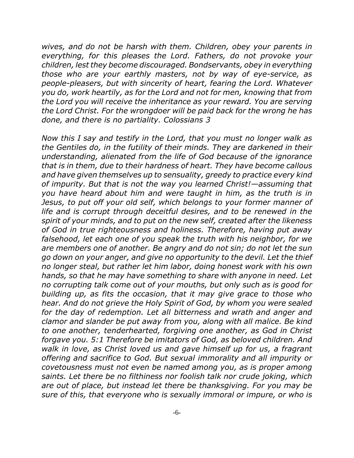*wives, and do not be harsh with them. Children, obey your parents in everything, for this pleases the Lord. Fathers, do not provoke your children, lest they become discouraged. Bondservants, obey in everything those who are your earthly masters, not by way of eye-service, as people-pleasers, but with sincerity of heart, fearing the Lord. Whatever you do, work heartily, as for the Lord and not for men, knowing that from the Lord you will receive the inheritance as your reward. You are serving the Lord Christ. For the wrongdoer will be paid back for the wrong he has done, and there is no partiality. Colossians 3*

*Now this I say and testify in the Lord, that you must no longer walk as the Gentiles do, in the futility of their minds. They are darkened in their understanding, alienated from the life of God because of the ignorance that is in them, due to their hardness of heart. They have become callous and have given themselves up to sensuality, greedy to practice every kind of impurity. But that is not the way you learned Christ!—assuming that you have heard about him and were taught in him, as the truth is in Jesus, to put off your old self, which belongs to your former manner of life and is corrupt through deceitful desires, and to be renewed in the spirit of your minds, and to put on the new self, created after the likeness of God in true righteousness and holiness. Therefore, having put away falsehood, let each one of you speak the truth with his neighbor, for we are members one of another. Be angry and do not sin; do not let the sun go down on your anger, and give no opportunity to the devil. Let the thief no longer steal, but rather let him labor, doing honest work with his own hands, so that he may have something to share with anyone in need. Let no corrupting talk come out of your mouths, but only such as is good for building up, as fits the occasion, that it may give grace to those who hear. And do not grieve the Holy Spirit of God, by whom you were sealed for the day of redemption. Let all bitterness and wrath and anger and clamor and slander be put away from you, along with all malice. Be kind to one another, tenderhearted, forgiving one another, as God in Christ forgave you. 5:1 Therefore be imitators of God, as beloved children. And walk in love, as Christ loved us and gave himself up for us, a fragrant offering and sacrifice to God. But sexual immorality and all impurity or covetousness must not even be named among you, as is proper among saints. Let there be no filthiness nor foolish talk nor crude joking, which are out of place, but instead let there be thanksgiving. For you may be sure of this, that everyone who is sexually immoral or impure, or who is*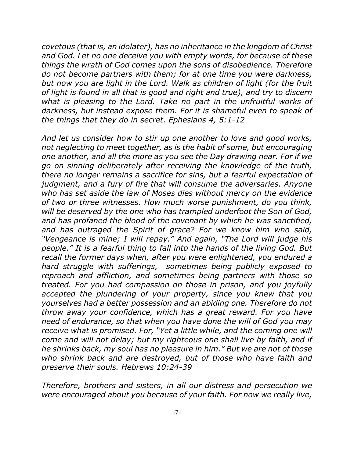*covetous (that is, an idolater), has no inheritance in the kingdom of Christ and God. Let no one deceive you with empty words, for because of these things the wrath of God comes upon the sons of disobedience. Therefore do not become partners with them; for at one time you were darkness, but now you are light in the Lord. Walk as children of light (for the fruit of light is found in all that is good and right and true), and try to discern what is pleasing to the Lord. Take no part in the unfruitful works of darkness, but instead expose them. For it is shameful even to speak of the things that they do in secret. Ephesians 4, 5:1-12*

*And let us consider how to stir up one another to love and good works, not neglecting to meet together, as is the habit of some, but encouraging one another, and all the more as you see the Day drawing near. For if we go on sinning deliberately after receiving the knowledge of the truth, there no longer remains a sacrifice for sins, but a fearful expectation of judgment, and a fury of fire that will consume the adversaries. Anyone who has set aside the law of Moses dies without mercy on the evidence of two or three witnesses. How much worse punishment, do you think, will be deserved by the one who has trampled underfoot the Son of God, and has profaned the blood of the covenant by which he was sanctified, and has outraged the Spirit of grace? For we know him who said, "Vengeance is mine; I will repay." And again, "The Lord will judge his people." It is a fearful thing to fall into the hands of the living God. But recall the former days when, after you were enlightened, you endured a hard struggle with sufferings, sometimes being publicly exposed to reproach and affliction, and sometimes being partners with those so treated. For you had compassion on those in prison, and you joyfully accepted the plundering of your property, since you knew that you yourselves had a better possession and an abiding one. Therefore do not throw away your confidence, which has a great reward. For you have need of endurance, so that when you have done the will of God you may receive what is promised. For, "Yet a little while, and the coming one will come and will not delay; but my righteous one shall live by faith, and if he shrinks back, my soul has no pleasure in him." But we are not of those who shrink back and are destroyed, but of those who have faith and preserve their souls. Hebrews 10:24-39* 

*Therefore, brothers and sisters, in all our distress and persecution we were encouraged about you because of your faith. For now we really live,*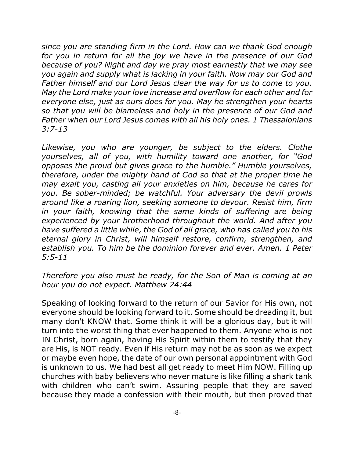*since you are standing firm in the Lord. How can we thank God enough for you in return for all the joy we have in the presence of our God because of you? Night and day we pray most earnestly that we may see you again and supply what is lacking in your faith. Now may our God and Father himself and our Lord Jesus clear the way for us to come to you. May the Lord make your love increase and overflow for each other and for everyone else, just as ours does for you. May he strengthen your hearts so that you will be blameless and holy in the presence of our God and Father when our Lord Jesus comes with all his holy ones. 1 Thessalonians 3:7-13*

*Likewise, you who are younger, be subject to the elders. Clothe yourselves, all of you, with humility toward one another, for "God opposes the proud but gives grace to the humble." Humble yourselves, therefore, under the mighty hand of God so that at the proper time he may exalt you, casting all your anxieties on him, because he cares for you. Be sober-minded; be watchful. Your adversary the devil prowls around like a roaring lion, seeking someone to devour. Resist him, firm in your faith, knowing that the same kinds of suffering are being experienced by your brotherhood throughout the world. And after you have suffered a little while, the God of all grace, who has called you to his eternal glory in Christ, will himself restore, confirm, strengthen, and establish you. To him be the dominion forever and ever. Amen. 1 Peter 5:5-11*

## *Therefore you also must be ready, for the Son of Man is coming at an hour you do not expect. Matthew 24:44*

Speaking of looking forward to the return of our Savior for His own, not everyone should be looking forward to it. Some should be dreading it, but many don't KNOW that. Some think it will be a glorious day, but it will turn into the worst thing that ever happened to them. Anyone who is not IN Christ, born again, having His Spirit within them to testify that they are His, is NOT ready. Even if His return may not be as soon as we expect or maybe even hope, the date of our own personal appointment with God is unknown to us. We had best all get ready to meet Him NOW. Filling up churches with baby believers who never mature is like filling a shark tank with children who can't swim. Assuring people that they are saved because they made a confession with their mouth, but then proved that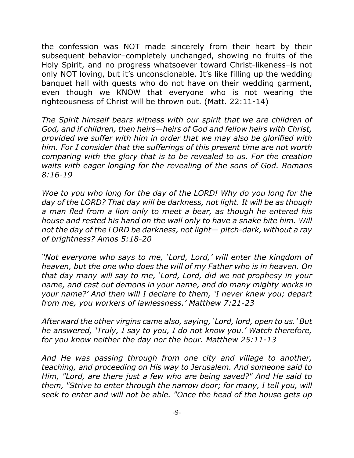the confession was NOT made sincerely from their heart by their subsequent behavior–completely unchanged, showing no fruits of the Holy Spirit, and no progress whatsoever toward Christ-likeness–is not only NOT loving, but it's unconscionable. It's like filling up the wedding banquet hall with guests who do not have on their wedding garment, even though we KNOW that everyone who is not wearing the righteousness of Christ will be thrown out. (Matt. 22:11-14)

*The Spirit himself bears witness with our spirit that we are children of God, and if children, then heirs—heirs of God and fellow heirs with Christ, provided we suffer with him in order that we may also be glorified with him. For I consider that the sufferings of this present time are not worth comparing with the glory that is to be revealed to us. For the creation waits with eager longing for the revealing of the sons of God. Romans 8:16-19* 

*Woe to you who long for the day of the LORD! Why do you long for the day of the LORD? That day will be darkness, not light. It will be as though a man fled from a lion only to meet a bear, as though he entered his house and rested his hand on the wall only to have a snake bite him. Will not the day of the LORD be darkness, not light— pitch-dark, without a ray of brightness? Amos 5:18-20*

*"Not everyone who says to me, 'Lord, Lord,' will enter the kingdom of heaven, but the one who does the will of my Father who is in heaven. On that day many will say to me, 'Lord, Lord, did we not prophesy in your name, and cast out demons in your name, and do many mighty works in your name?' And then will I declare to them, 'I never knew you; depart from me, you workers of lawlessness.' Matthew 7:21-23*

*Afterward the other virgins came also, saying, 'Lord, lord, open to us.' But he answered, 'Truly, I say to you, I do not know you.' Watch therefore, for you know neither the day nor the hour. Matthew 25:11-13* 

*And He was passing through from one city and village to another, teaching, and proceeding on His way to Jerusalem. And someone said to Him, "Lord, are there just a few who are being saved?" And He said to them, "Strive to enter through the narrow door; for many, I tell you, will seek to enter and will not be able. "Once the head of the house gets up*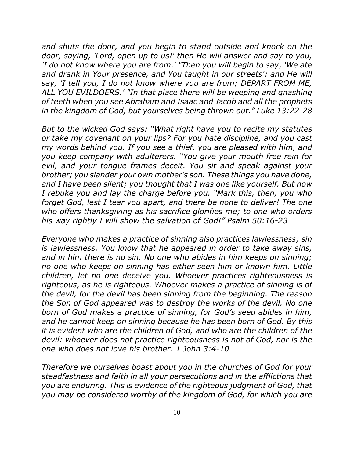*and shuts the door, and you begin to stand outside and knock on the door, saying, 'Lord, open up to us!' then He will answer and say to you, 'I do not know where you are from.' "Then you will begin to say*, *'We ate and drank in Your presence, and You taught in our streets'; and He will say, 'I tell you, I do not know where you are from; DEPART FROM ME, ALL YOU EVILDOERS.' "In that place there will be weeping and gnashing of teeth when you see Abraham and Isaac and Jacob and all the prophets in the kingdom of God, but yourselves being thrown out." Luke 13:22-28*

*But to the wicked God says: "What right have you to recite my statutes or take my covenant on your lips? For you hate discipline, and you cast my words behind you. If you see a thief, you are pleased with him, and you keep company with adulterers. "You give your mouth free rein for evil, and your tongue frames deceit. You sit and speak against your brother; you slander your own mother's son. These things you have done, and I have been silent; you thought that I was one like yourself. But now I rebuke you and lay the charge before you. "Mark this, then, you who forget God, lest I tear you apart, and there be none to deliver! The one who offers thanksgiving as his sacrifice glorifies me; to one who orders his way rightly I will show the salvation of God!" Psalm 50:16-23*

*Everyone who makes a practice of sinning also practices lawlessness; sin is lawlessness. You know that he appeared in order to take away sins, and in him there is no sin. No one who abides in him keeps on sinning; no one who keeps on sinning has either seen him or known him. Little children, let no one deceive you. Whoever practices righteousness is righteous, as he is righteous. Whoever makes a practice of sinning is of the devil, for the devil has been sinning from the beginning. The reason the Son of God appeared was to destroy the works of the devil. No one born of God makes a practice of sinning, for God's seed abides in him, and he cannot keep on sinning because he has been born of God. By this it is evident who are the children of God, and who are the children of the devil: whoever does not practice righteousness is not of God, nor is the one who does not love his brother. 1 John 3:4-10*

*Therefore we ourselves boast about you in the churches of God for your steadfastness and faith in all your persecutions and in the afflictions that you are enduring. This is evidence of the righteous judgment of God, that you may be considered worthy of the kingdom of God, for which you are*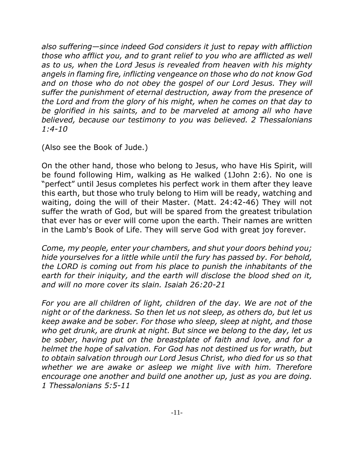*also suffering—since indeed God considers it just to repay with affliction those who afflict you, and to grant relief to you who are afflicted as well as to us, when the Lord Jesus is revealed from heaven with his mighty angels in flaming fire, inflicting vengeance on those who do not know God and on those who do not obey the gospel of our Lord Jesus. They will suffer the punishment of eternal destruction, away from the presence of the Lord and from the glory of his might, when he comes on that day to be glorified in his saints, and to be marveled at among all who have believed, because our testimony to you was believed. 2 Thessalonians 1:4-10*

(Also see the Book of Jude.)

On the other hand, those who belong to Jesus, who have His Spirit, will be found following Him, walking as He walked (1John 2:6). No one is "perfect" until Jesus completes his perfect work in them after they leave this earth, but those who truly belong to Him will be ready, watching and waiting, doing the will of their Master. (Matt. 24:42-46) They will not suffer the wrath of God, but will be spared from the greatest tribulation that ever has or ever will come upon the earth. Their names are written in the Lamb's Book of Life. They will serve God with great joy forever.

*Come, my people, enter your chambers, and shut your doors behind you; hide yourselves for a little while until the fury has passed by. For behold, the LORD is coming out from his place to punish the inhabitants of the earth for their iniquity, and the earth will disclose the blood shed on it, and will no more cover its slain. Isaiah 26:20-21*

*For you are all children of light, children of the day. We are not of the night or of the darkness. So then let us not sleep, as others do, but let us keep awake and be sober. For those who sleep, sleep at night, and those who get drunk, are drunk at night. But since we belong to the day, let us be sober, having put on the breastplate of faith and love, and for a helmet the hope of salvation. For God has not destined us for wrath, but to obtain salvation through our Lord Jesus Christ, who died for us so that whether we are awake or asleep we might live with him. Therefore encourage one another and build one another up, just as you are doing. 1 Thessalonians 5:5-11*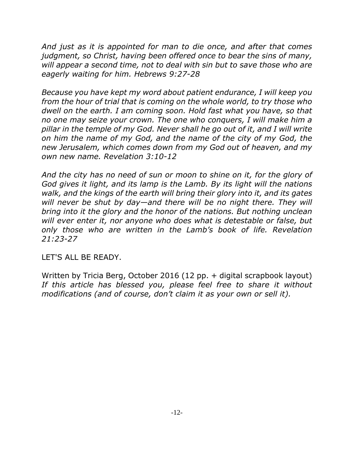*And just as it is appointed for man to die once, and after that comes judgment, so Christ, having been offered once to bear the sins of many, will appear a second time, not to deal with sin but to save those who are eagerly waiting for him. Hebrews 9:27-28* 

*Because you have kept my word about patient endurance, I will keep you from the hour of trial that is coming on the whole world, to try those who dwell on the earth. I am coming soon. Hold fast what you have, so that no one may seize your crown. The one who conquers, I will make him a pillar in the temple of my God. Never shall he go out of it, and I will write on him the name of my God, and the name of the city of my God, the new Jerusalem, which comes down from my God out of heaven, and my own new name. Revelation 3:10-12*

*And the city has no need of sun or moon to shine on it, for the glory of God gives it light, and its lamp is the Lamb. By its light will the nations walk, and the kings of the earth will bring their glory into it, and its gates will never be shut by day—and there will be no night there. They will bring into it the glory and the honor of the nations. But nothing unclean will ever enter it, nor anyone who does what is detestable or false, but only those who are written in the Lamb's book of life. Revelation 21:23-27* 

LET'S ALL BE READY.

Written by Tricia Berg, October 2016 (12 pp. + digital scrapbook layout) *If this article has blessed you, please feel free to share it without modifications (and of course, don't claim it as your own or sell it).*